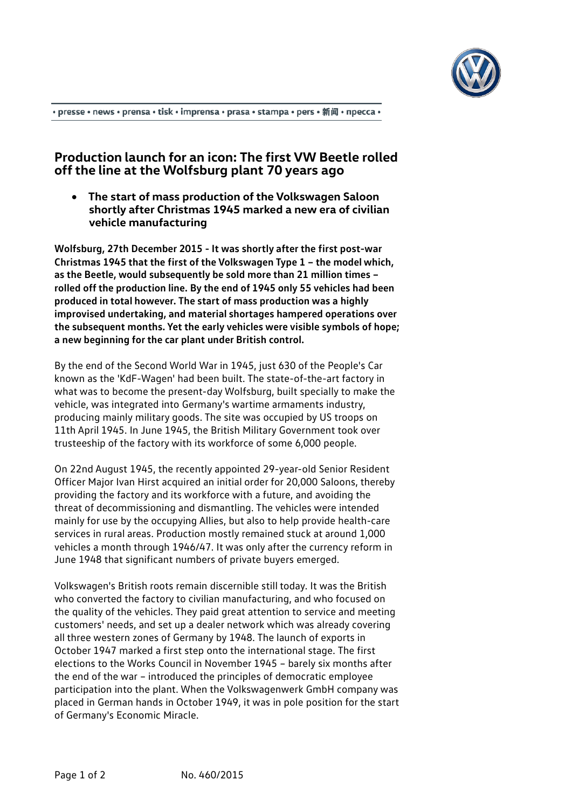

• presse • news • prensa • tisk • imprensa • prasa • stampa • pers • 新闻 • пресса •

## **Production launch for an icon: The first VW Beetle rolled off the line at the Wolfsburg plant 70 years ago**

• **The start of mass production of the Volkswagen Saloon shortly after Christmas 1945 marked a new era of civilian vehicle manufacturing**

**Wolfsburg, 27th December 2015 - It was shortly after the first post-war Christmas 1945 that the first of the Volkswagen Type 1 – the model which, as the Beetle, would subsequently be sold more than 21 million times – rolled off the production line. By the end of 1945 only 55 vehicles had been produced in total however. The start of mass production was a highly improvised undertaking, and material shortages hampered operations over the subsequent months. Yet the early vehicles were visible symbols of hope; a new beginning for the car plant under British control.**

By the end of the Second World War in 1945, just 630 of the People's Car known as the 'KdF-Wagen' had been built. The state-of-the-art factory in what was to become the present-day Wolfsburg, built specially to make the vehicle, was integrated into Germany's wartime armaments industry, producing mainly military goods. The site was occupied by US troops on 11th April 1945. In June 1945, the British Military Government took over trusteeship of the factory with its workforce of some 6,000 people.

On 22nd August 1945, the recently appointed 29-year-old Senior Resident Officer Major Ivan Hirst acquired an initial order for 20,000 Saloons, thereby providing the factory and its workforce with a future, and avoiding the threat of decommissioning and dismantling. The vehicles were intended mainly for use by the occupying Allies, but also to help provide health-care services in rural areas. Production mostly remained stuck at around 1,000 vehicles a month through 1946/47. It was only after the currency reform in June 1948 that significant numbers of private buyers emerged.

Volkswagen's British roots remain discernible still today. It was the British who converted the factory to civilian manufacturing, and who focused on the quality of the vehicles. They paid great attention to service and meeting customers' needs, and set up a dealer network which was already covering all three western zones of Germany by 1948. The launch of exports in October 1947 marked a first step onto the international stage. The first elections to the Works Council in November 1945 – barely six months after the end of the war – introduced the principles of democratic employee participation into the plant. When the Volkswagenwerk GmbH company was placed in German hands in October 1949, it was in pole position for the start of Germany's Economic Miracle.